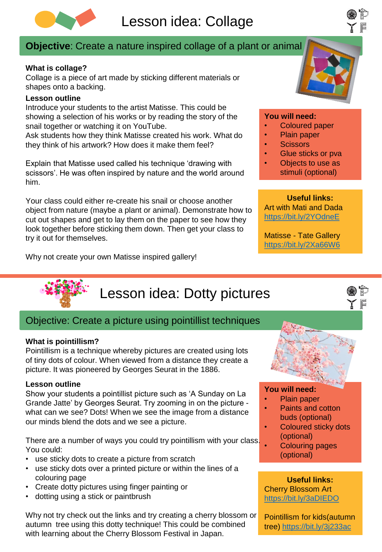

# **Objective**: Create a nature inspired collage of a plant or animal

#### **What is collage?**

Collage is a piece of art made by sticking different materials or shapes onto a backing.

#### **Lesson outline**

Introduce your students to the artist Matisse. This could be showing a selection of his works or by reading the story of the snail together or watching it on YouTube.

Ask students how they think Matisse created his work. What do they think of his artwork? How does it make them feel?

Explain that Matisse used called his technique 'drawing with scissors'. He was often inspired by nature and the world around him.

Your class could either re-create his snail or choose another object from nature (maybe a plant or animal). Demonstrate how to cut out shapes and get to lay them on the paper to see how they look together before sticking them down. Then get your class to try it out for themselves.

Why not create your own Matisse inspired gallery!



#### **You will need:**

- Coloured paper
- Plain paper
- Scissors
- Glue sticks or pva
- Objects to use as stimuli (optional)

**Useful links:**  Art with Mati and Dada <https://bit.ly/2YOdneE>

Matisse - Tate Gallery <https://bit.ly/2Xa66W6>



# Lesson idea: Dotty pictures

## Objective: Create a picture using pointillist techniques

#### **What is pointillism?**

Pointillism is a technique whereby pictures are created using lots of tiny dots of colour. When viewed from a distance they create a picture. It was pioneered by Georges Seurat in the 1886.

#### **Lesson outline**

Show your students a pointillist picture such as 'A Sunday on La Grande Jatte' by Georges Seurat. Try zooming in on the picture what can we see? Dots! When we see the image from a distance our minds blend the dots and we see a picture.

There are a number of ways you could try pointillism with your class. You could:

- use sticky dots to create a picture from scratch
- use sticky dots over a printed picture or within the lines of a colouring page
- Create dotty pictures using finger painting or
- dotting using a stick or paintbrush

Why not try check out the links and try creating a cherry blossom or autumn tree using this dotty technique! This could be combined with learning about the Cherry Blossom Festival in Japan.



#### **You will need:**

- Plain paper
- Paints and cotton buds (optional)
- Coloured sticky dots (optional)
- Colouring pages (optional)

**Useful links:**  Cherry Blossom Art <https://bit.ly/3aDIEDO>

Pointillism for kids(autumn tree)<https://bit.ly/3j233ac>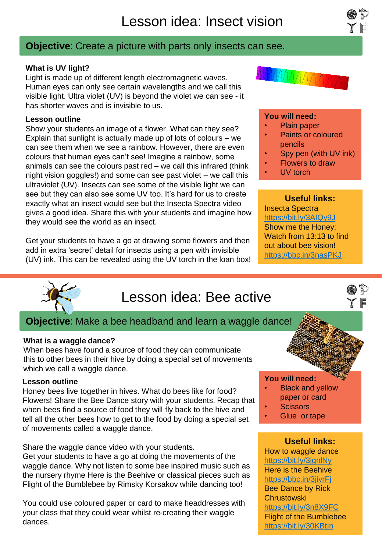# **Objective**: Create a picture with parts only insects can see.

#### **What is UV light?**

Light is made up of different length electromagnetic waves. Human eyes can only see certain wavelengths and we call this visible light. Ultra violet (UV) is beyond the violet we can see - it has shorter waves and is invisible to us.

#### **Lesson outline**

Show your students an image of a flower. What can they see? Explain that sunlight is actually made up of lots of colours – we can see them when we see a rainbow. However, there are even colours that human eyes can't see! Imagine a rainbow, some animals can see the colours past red – we call this infrared (think night vision goggles!) and some can see past violet – we call this ultraviolet (UV). Insects can see some of the visible light we can see but they can also see some UV too. It's hard for us to create exactly what an insect would see but the Insecta Spectra video gives a good idea. Share this with your students and imagine how they would see the world as an insect.

Get your students to have a go at drawing some flowers and then add in extra 'secret' detail for insects using a pen with invisible (UV) ink. This can be revealed using the UV torch in the loan box!



#### **You will need:**

- Plain paper
- Paints or coloured pencils
- Spy pen (with UV ink)
- Flowers to draw
- UV torch

#### **Useful links:**

Insecta Spectra <https://bit.ly/3AIQy9J> Show me the Honey: Watch from 13:13 to find out about bee vision! <https://bbc.in/3nasPKJ>



# Lesson idea: Bee active

**Objective**: Make a bee headband and learn a waggle dance!

#### **What is a waggle dance?**

When bees have found a source of food they can communicate this to other bees in their hive by doing a special set of movements which we call a waggle dance.

#### **Lesson outline**

Honey bees live together in hives. What do bees like for food? Flowers! Share the Bee Dance story with your students. Recap that when bees find a source of food they will fly back to the hive and tell all the other bees how to get to the food by doing a special set of movements called a waggle dance.

Share the waggle dance video with your students.

Get your students to have a go at doing the movements of the waggle dance. Why not listen to some bee inspired music such as the nursery rhyme Here is the Beehive or classical pieces such as Flight of the Bumblebee by Rimsky Korsakov while dancing too!

You could use coloured paper or card to make headdresses with your class that they could wear whilst re-creating their waggle dances.

#### **You will need:**

- **Black and yellow** paper or card
- **Scissors**
- Glue or tape

### **Useful links:**

How to waggle dance <https://bit.ly/3jgnlNy> Here is the Beehive <https://bbc.in/3jivrFj> Bee Dance by Rick **Chrustowski** <https://bit.ly/3n8X9FC> Flight of the Bumblebee <https://bit.ly/30KBtIn>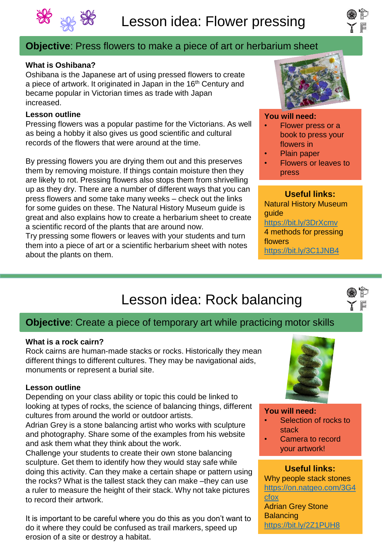



# **Objective**: Press flowers to make a piece of art or herbarium sheet

#### **What is Oshibana?**

Oshibana is the Japanese art of using pressed flowers to create a piece of artwork. It originated in Japan in the 16<sup>th</sup> Century and became popular in Victorian times as trade with Japan increased.

#### **Lesson outline**

Pressing flowers was a popular pastime for the Victorians. As well as being a hobby it also gives us good scientific and cultural records of the flowers that were around at the time.

By pressing flowers you are drying them out and this preserves them by removing moisture. If things contain moisture then they are likely to rot. Pressing flowers also stops them from shrivelling up as they dry. There are a number of different ways that you can press flowers and some take many weeks – check out the links for some guides on these. The Natural History Museum guide is great and also explains how to create a herbarium sheet to create a scientific record of the plants that are around now.

Try pressing some flowers or leaves with your students and turn them into a piece of art or a scientific herbarium sheet with notes about the plants on them.



#### **You will need:**

- Flower press or a book to press your flowers in
- Plain paper
- Flowers or leaves to press

#### **Useful links:**

Natural History Museum guide <https://bit.ly/3DrXcmv> 4 methods for pressing

flowers <https://bit.ly/3C1JNB4>

# Lesson idea: Rock balancing



### **Objective**: Create a piece of temporary art while practicing motor skills

#### **What is a rock cairn?**

Rock cairns are human-made stacks or rocks. Historically they mean different things to different cultures. They may be navigational aids, monuments or represent a burial site.

#### **Lesson outline**

Depending on your class ability or topic this could be linked to looking at types of rocks, the science of balancing things, different cultures from around the world or outdoor artists.

Adrian Grey is a stone balancing artist who works with sculpture and photography. Share some of the examples from his website and ask them what they think about the work.

Challenge your students to create their own stone balancing sculpture. Get them to identify how they would stay safe while doing this activity. Can they make a certain shape or pattern using the rocks? What is the tallest stack they can make –they can use a ruler to measure the height of their stack. Why not take pictures to record their artwork.

It is important to be careful where you do this as you don't want to do it where they could be confused as trail markers, speed up erosion of a site or destroy a habitat.



**You will need:**

- Selection of rocks to stack
- Camera to record your artwork!

#### **Useful links:**

Why people stack stones [https://on.natgeo.com/3G4](https://on.natgeo.com/3G4cfox) cfox Adrian Grey Stone **Balancing** <https://bit.ly/2Z1PUH8>